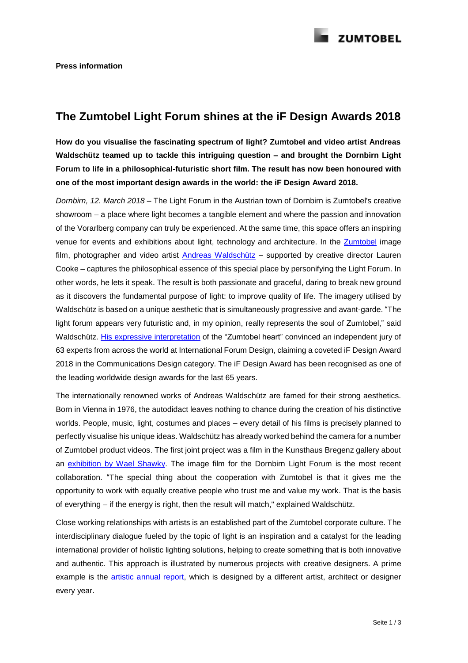

## **The Zumtobel Light Forum shines at the iF Design Awards 2018**

**How do you visualise the fascinating spectrum of light? Zumtobel and video artist Andreas Waldschütz teamed up to tackle this intriguing question – and brought the Dornbirn Light Forum to life in a philosophical-futuristic short film. The result has now been honoured with one of the most important design awards in the world: the iF Design Award 2018.**

*Dornbirn, 12. March 2018 –* The Light Forum in the Austrian town of Dornbirn is Zumtobel's creative showroom – a place where light becomes a tangible element and where the passion and innovation of the Vorarlberg company can truly be experienced. At the same time, this space offers an inspiring venue for events and exhibitions about light, technology and architecture. In the **Zumtobel** image film, photographer and video artist [Andreas Waldschütz](http://www.waldschuetz.com/) – supported by creative director Lauren Cooke – captures the philosophical essence of this special place by personifying the Light Forum. In other words, he lets it speak. The result is both passionate and graceful, daring to break new ground as it discovers the fundamental purpose of light: to improve quality of life. The imagery utilised by Waldschütz is based on a unique aesthetic that is simultaneously progressive and avant-garde. "The light forum appears very futuristic and, in my opinion, really represents the soul of Zumtobel," said Waldschütz. [His expressive interpretation](https://youtu.be/Mfm_BjyZSdg) of the "Zumtobel heart" convinced an independent jury of 63 experts from across the world at International Forum Design, claiming a coveted iF Design Award 2018 in the Communications Design category. The iF Design Award has been recognised as one of the leading worldwide design awards for the last 65 years.

The internationally renowned works of Andreas Waldschütz are famed for their strong aesthetics. Born in Vienna in 1976, the autodidact leaves nothing to chance during the creation of his distinctive worlds. People, music, light, costumes and places – every detail of his films is precisely planned to perfectly visualise his unique ideas. Waldschütz has already worked behind the camera for a number of Zumtobel product videos. The first joint project was a film in the Kunsthaus Bregenz gallery about an [exhibition by Wael Shawky.](https://youtu.be/kRw3r_dJYng) The image film for the Dornbirn Light Forum is the most recent collaboration. "The special thing about the cooperation with Zumtobel is that it gives me the opportunity to work with equally creative people who trust me and value my work. That is the basis of everything – if the energy is right, then the result will match," explained Waldschütz.

Close working relationships with artists is an established part of the Zumtobel corporate culture. The interdisciplinary dialogue fueled by the topic of light is an inspiration and a catalyst for the leading international provider of holistic lighting solutions, helping to create something that is both innovative and authentic. This approach is illustrated by numerous projects with creative designers. A prime example is the [artistic annual report,](http://www.zumtobelgroup.com/en/annual_reports.htm) which is designed by a different artist, architect or designer every year.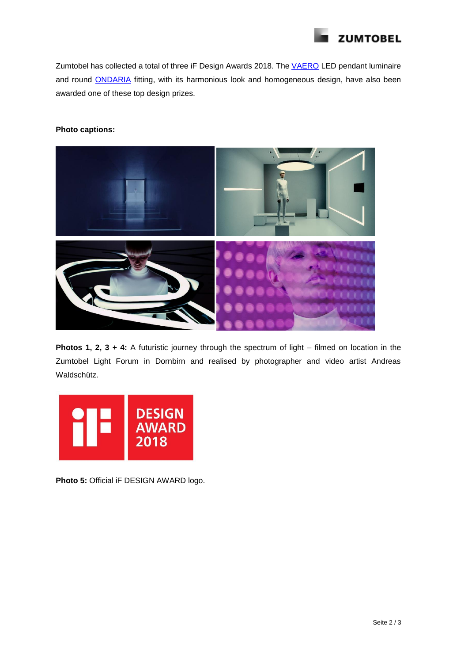

Zumtobel has collected a total of three iF Design Awards 2018. The [VAERO](http://www.zumtobel.com/com-en/products/vaero.html) LED pendant luminaire and round **ONDARIA** fitting, with its harmonious look and homogeneous design, have also been awarded one of these top design prizes.

## **Photo captions:**



**Photos 1, 2, 3 + 4:** A futuristic journey through the spectrum of light – filmed on location in the Zumtobel Light Forum in Dornbirn and realised by photographer and video artist Andreas Waldschütz.



**Photo 5:** Official iF DESIGN AWARD logo.